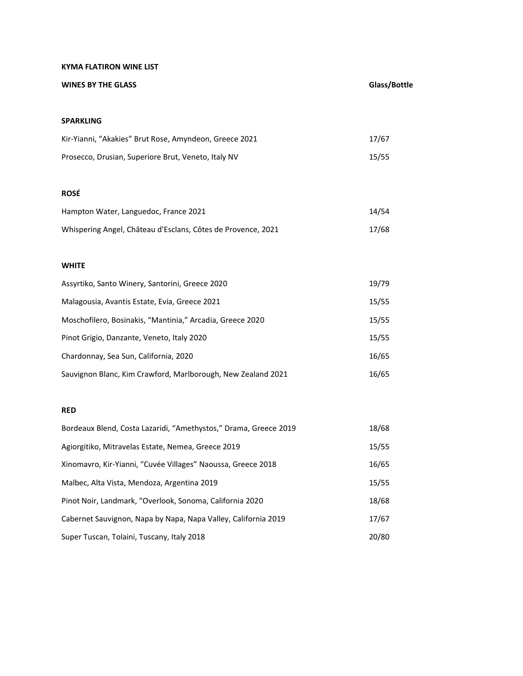# **KYMA FLATIRON WINE LIST**

| <b>WINES BY THE GLASS</b>                                    | Glass/Bottle |
|--------------------------------------------------------------|--------------|
|                                                              |              |
| <b>SPARKLING</b>                                             |              |
| Kir-Yianni, "Akakies" Brut Rose, Amyndeon, Greece 2021       | 17/67        |
| Prosecco, Drusian, Superiore Brut, Veneto, Italy NV          | 15/55        |
|                                                              |              |
| <b>ROSÉ</b>                                                  |              |
| Hampton Water, Languedoc, France 2021                        | 14/54        |
| Whispering Angel, Château d'Esclans, Côtes de Provence, 2021 | 17/68        |
|                                                              |              |
| <b>WHITE</b>                                                 |              |
| Assyrtiko, Santo Winery, Santorini, Greece 2020              | 19/79        |
| Malagousia, Avantis Estate, Evia, Greece 2021                | 15/55        |
| Moschofilero, Bosinakis, "Mantinia," Arcadia, Greece 2020    | 15/55        |
| Pinot Grigio, Danzante, Veneto, Italy 2020                   | 15/55        |
| Chardonnay, Sea Sun, California, 2020                        | 16/65        |
| Sauvignon Blanc, Kim Crawford, Marlborough, New Zealand 2021 | 16/65        |
|                                                              |              |
| <b>RED</b>                                                   |              |

| Bordeaux Blend, Costa Lazaridi, "Amethystos," Drama, Greece 2019 | 18/68 |
|------------------------------------------------------------------|-------|
| Agiorgitiko, Mitravelas Estate, Nemea, Greece 2019               | 15/55 |
| Xinomavro, Kir-Yianni, "Cuvée Villages" Naoussa, Greece 2018     | 16/65 |
| Malbec, Alta Vista, Mendoza, Argentina 2019                      | 15/55 |
| Pinot Noir, Landmark, "Overlook, Sonoma, California 2020         | 18/68 |
| Cabernet Sauvignon, Napa by Napa, Napa Valley, California 2019   | 17/67 |
| Super Tuscan, Tolaini, Tuscany, Italy 2018                       | 20/80 |
|                                                                  |       |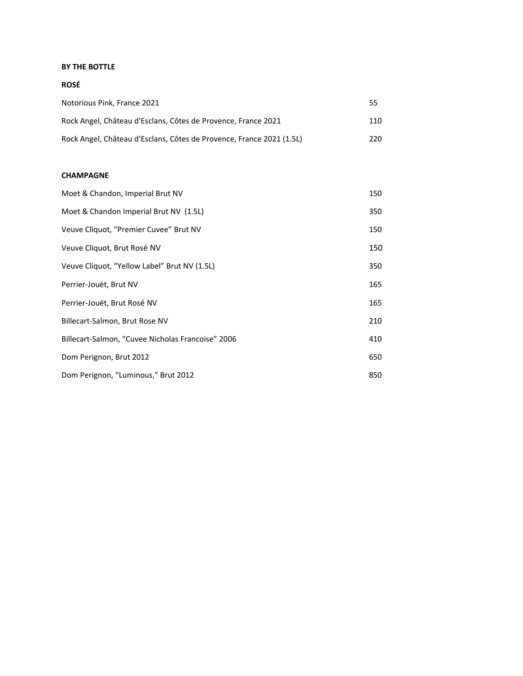## **BY THE BOTTLE**

### **ROSÉ**

| Notorious Pink, France 2021                                          | 55   |
|----------------------------------------------------------------------|------|
| Rock Angel, Château d'Esclans, Côtes de Provence, France 2021        | 110  |
| Rock Angel, Château d'Esclans, Côtes de Provence, France 2021 (1.5L) | 220. |

## **CHAMPAGNE**

| Moet & Chandon, Imperial Brut NV                  | 150 |
|---------------------------------------------------|-----|
| Moet & Chandon Imperial Brut NV (1.5L)            | 350 |
| Veuve Cliquot, "Premier Cuvee" Brut NV            | 150 |
| Veuve Cliquot, Brut Rosé NV                       | 150 |
| Veuve Cliquot, "Yellow Label" Brut NV (1.5L)      | 350 |
| Perrier-Jouët, Brut NV                            | 165 |
| Perrier-Jouët, Brut Rosé NV                       | 165 |
| Billecart-Salmon, Brut Rose NV                    | 210 |
| Billecart-Salmon, "Cuvee Nicholas Francoise" 2006 | 410 |
| Dom Perignon, Brut 2012                           | 650 |
| Dom Perignon, "Luminous," Brut 2012               | 850 |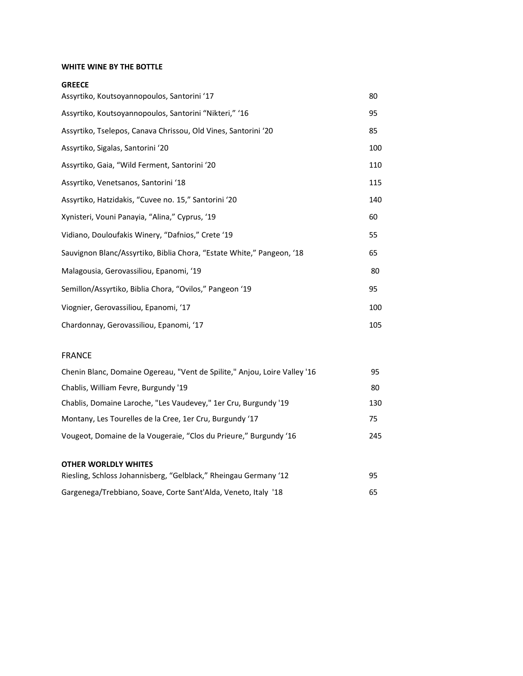## **WHITE WINE BY THE BOTTLE**

| <b>GREECE</b>                                                         |     |
|-----------------------------------------------------------------------|-----|
| Assyrtiko, Koutsoyannopoulos, Santorini '17                           | 80  |
| Assyrtiko, Koutsoyannopoulos, Santorini "Nikteri," '16                | 95  |
| Assyrtiko, Tselepos, Canava Chrissou, Old Vines, Santorini '20        | 85  |
| Assyrtiko, Sigalas, Santorini '20                                     | 100 |
| Assyrtiko, Gaia, "Wild Ferment, Santorini '20                         | 110 |
| Assyrtiko, Venetsanos, Santorini '18                                  | 115 |
| Assyrtiko, Hatzidakis, "Cuvee no. 15," Santorini '20                  | 140 |
| Xynisteri, Vouni Panayia, "Alina," Cyprus, '19                        | 60  |
| Vidiano, Douloufakis Winery, "Dafnios," Crete '19                     | 55  |
| Sauvignon Blanc/Assyrtiko, Biblia Chora, "Estate White," Pangeon, '18 | 65  |
| Malagousia, Gerovassiliou, Epanomi, '19                               | 80  |
| Semillon/Assyrtiko, Biblia Chora, "Ovilos," Pangeon '19               | 95  |
| Viognier, Gerovassiliou, Epanomi, '17                                 | 100 |
| Chardonnay, Gerovassiliou, Epanomi, '17                               | 105 |

# FRANCE

| Chenin Blanc, Domaine Ogereau, "Vent de Spilite," Anjou, Loire Valley '16 | 95  |
|---------------------------------------------------------------------------|-----|
| Chablis, William Fevre, Burgundy '19                                      | 80  |
| Chablis, Domaine Laroche, "Les Vaudevey," 1er Cru, Burgundy '19           | 130 |
| Montany, Les Tourelles de la Cree, 1er Cru, Burgundy '17                  | 75  |
| Vougeot, Domaine de la Vougeraie, "Clos du Prieure," Burgundy '16         | 245 |

### **OTHER WORLDLY WHITES**

| Riesling, Schloss Johannisberg, "Gelblack," Rheingau Germany '12 | -95 |
|------------------------------------------------------------------|-----|
| Gargenega/Trebbiano, Soave, Corte Sant'Alda, Veneto, Italy '18   | 65  |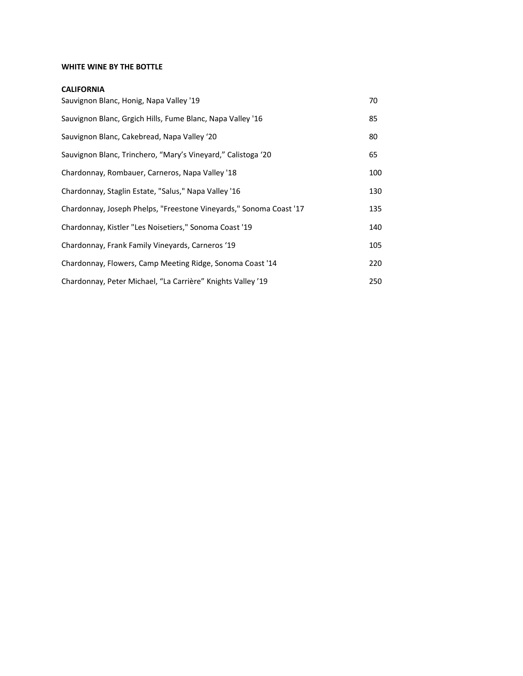## **WHITE WINE BY THE BOTTLE**

#### **CALIFORNIA**

| Sauvignon Blanc, Honig, Napa Valley '19                            | 70  |
|--------------------------------------------------------------------|-----|
| Sauvignon Blanc, Grgich Hills, Fume Blanc, Napa Valley '16         | 85  |
| Sauvignon Blanc, Cakebread, Napa Valley '20                        | 80  |
| Sauvignon Blanc, Trinchero, "Mary's Vineyard," Calistoga '20       | 65  |
| Chardonnay, Rombauer, Carneros, Napa Valley '18                    | 100 |
| Chardonnay, Staglin Estate, "Salus," Napa Valley '16               | 130 |
| Chardonnay, Joseph Phelps, "Freestone Vineyards," Sonoma Coast '17 | 135 |
| Chardonnay, Kistler "Les Noisetiers," Sonoma Coast '19             | 140 |
| Chardonnay, Frank Family Vineyards, Carneros '19                   | 105 |
| Chardonnay, Flowers, Camp Meeting Ridge, Sonoma Coast '14          | 220 |
| Chardonnay, Peter Michael, "La Carrière" Knights Valley '19        | 250 |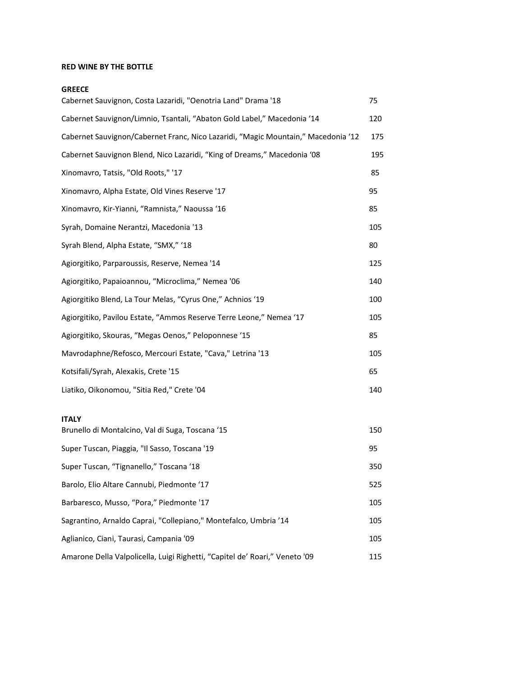## **RED WINE BY THE BOTTLE**

#### **GREECE**

| Cabernet Sauvignon, Costa Lazaridi, "Oenotria Land" Drama '18                     | 75  |
|-----------------------------------------------------------------------------------|-----|
| Cabernet Sauvignon/Limnio, Tsantali, "Abaton Gold Label," Macedonia '14           | 120 |
| Cabernet Sauvignon/Cabernet Franc, Nico Lazaridi, "Magic Mountain," Macedonia '12 | 175 |
| Cabernet Sauvignon Blend, Nico Lazaridi, "King of Dreams," Macedonia '08          | 195 |
| Xinomavro, Tatsis, "Old Roots," '17                                               | 85  |
| Xinomavro, Alpha Estate, Old Vines Reserve '17                                    | 95  |
| Xinomavro, Kir-Yianni, "Ramnista," Naoussa '16                                    | 85  |
| Syrah, Domaine Nerantzi, Macedonia '13                                            | 105 |
| Syrah Blend, Alpha Estate, "SMX," '18                                             | 80  |
| Agiorgitiko, Parparoussis, Reserve, Nemea '14                                     | 125 |
| Agiorgitiko, Papaioannou, "Microclima," Nemea '06                                 | 140 |
| Agiorgitiko Blend, La Tour Melas, "Cyrus One," Achnios '19                        | 100 |
| Agiorgitiko, Pavilou Estate, "Ammos Reserve Terre Leone," Nemea '17               | 105 |
| Agiorgitiko, Skouras, "Megas Oenos," Peloponnese '15                              | 85  |
| Mavrodaphne/Refosco, Mercouri Estate, "Cava," Letrina '13                         | 105 |
| Kotsifali/Syrah, Alexakis, Crete '15                                              | 65  |
| Liatiko, Oikonomou, "Sitia Red," Crete '04                                        | 140 |
| <b>ITALY</b>                                                                      |     |
|                                                                                   |     |

| Brunello di Montalcino, Val di Suga, Toscana '15                            | 150 |
|-----------------------------------------------------------------------------|-----|
| Super Tuscan, Piaggia, "Il Sasso, Toscana '19                               | 95  |
| Super Tuscan, "Tignanello," Toscana '18                                     | 350 |
| Barolo, Elio Altare Cannubi, Piedmonte '17                                  | 525 |
| Barbaresco, Musso, "Pora," Piedmonte '17                                    | 105 |
| Sagrantino, Arnaldo Caprai, "Collepiano," Montefalco, Umbria '14            | 105 |
| Aglianico, Ciani, Taurasi, Campania '09                                     | 105 |
| Amarone Della Valpolicella, Luigi Righetti, "Capitel de' Roari," Veneto '09 | 115 |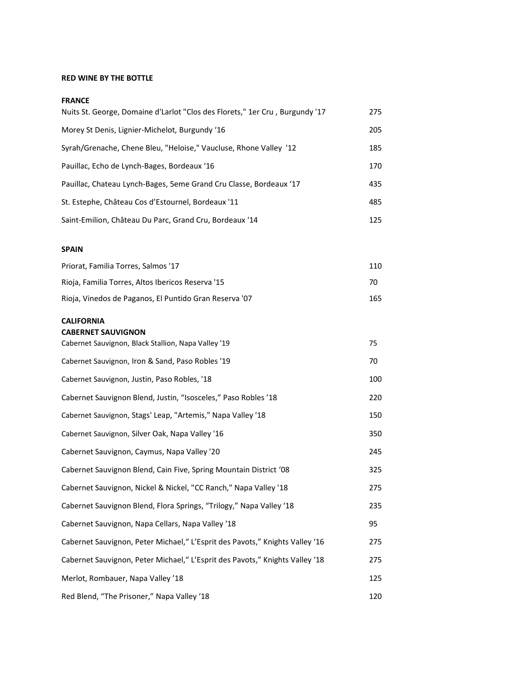### **RED WINE BY THE BOTTLE**

### **FRANCE**

| Nuits St. George, Domaine d'Larlot "Clos des Florets," 1er Cru, Burgundy '17                          | 275 |
|-------------------------------------------------------------------------------------------------------|-----|
| Morey St Denis, Lignier-Michelot, Burgundy '16                                                        | 205 |
| Syrah/Grenache, Chene Bleu, "Heloise," Vaucluse, Rhone Valley '12                                     | 185 |
| Pauillac, Echo de Lynch-Bages, Bordeaux '16                                                           | 170 |
| Pauillac, Chateau Lynch-Bages, 5eme Grand Cru Classe, Bordeaux '17                                    | 435 |
| St. Estephe, Château Cos d'Estournel, Bordeaux '11                                                    | 485 |
| Saint-Emilion, Château Du Parc, Grand Cru, Bordeaux '14                                               | 125 |
| <b>SPAIN</b>                                                                                          |     |
| Priorat, Familia Torres, Salmos '17                                                                   | 110 |
| Rioja, Familia Torres, Altos Ibericos Reserva '15                                                     | 70  |
| Rioja, Vinedos de Paganos, El Puntido Gran Reserva '07                                                | 165 |
| <b>CALIFORNIA</b><br><b>CABERNET SAUVIGNON</b><br>Cabernet Sauvignon, Black Stallion, Napa Valley '19 | 75  |
| Cabernet Sauvignon, Iron & Sand, Paso Robles '19                                                      | 70  |
| Cabernet Sauvignon, Justin, Paso Robles, '18                                                          | 100 |
| Cabernet Sauvignon Blend, Justin, "Isosceles," Paso Robles '18                                        | 220 |
| Cabernet Sauvignon, Stags' Leap, "Artemis," Napa Valley '18                                           | 150 |
| Cabernet Sauvignon, Silver Oak, Napa Valley '16                                                       | 350 |
| Cabernet Sauvignon, Caymus, Napa Valley '20                                                           | 245 |
| Cabernet Sauvignon Blend, Cain Five, Spring Mountain District '08                                     | 325 |
| Cabernet Sauvignon, Nickel & Nickel, "CC Ranch," Napa Valley '18                                      | 275 |
| Cabernet Sauvignon Blend, Flora Springs, "Trilogy," Napa Valley '18                                   | 235 |
| Cabernet Sauvignon, Napa Cellars, Napa Valley '18                                                     | 95  |
| Cabernet Sauvignon, Peter Michael," L'Esprit des Pavots," Knights Valley '16                          | 275 |
| Cabernet Sauvignon, Peter Michael," L'Esprit des Pavots," Knights Valley '18                          | 275 |
| Merlot, Rombauer, Napa Valley '18                                                                     | 125 |
| Red Blend, "The Prisoner," Napa Valley '18                                                            | 120 |